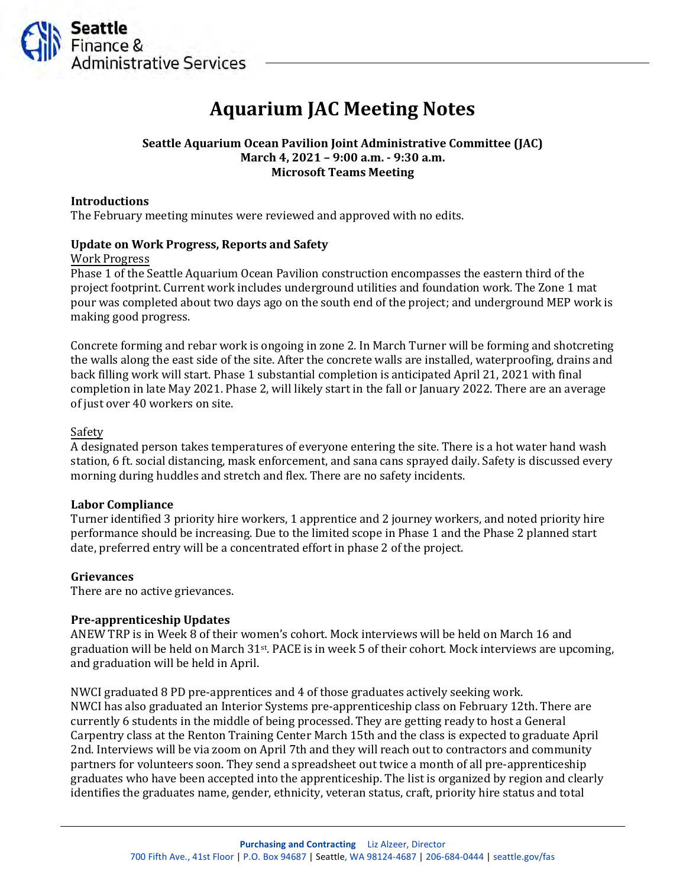

# **Aquarium JAC Meeting Notes**

# **Seattle Aquarium Ocean Pavilion Joint Administrative Committee (JAC) March 4, 2021 – 9:00 a.m. - 9:30 a.m. Microsoft Teams Meeting**

## **Introductions**

The February meeting minutes were reviewed and approved with no edits.

## **Update on Work Progress, Reports and Safety**

Work Progress

Phase 1 of the Seattle Aquarium Ocean Pavilion construction encompasses the eastern third of the project footprint. Current work includes underground utilities and foundation work. The Zone 1 mat pour was completed about two days ago on the south end of the project; and underground MEP work is making good progress.

Concrete forming and rebar work is ongoing in zone 2. In March Turner will be forming and shotcreting the walls along the east side of the site. After the concrete walls are installed, waterproofing, drains and back filling work will start. Phase 1 substantial completion is anticipated April 21, 2021 with final completion in late May 2021. Phase 2, will likely start in the fall or January 2022. There are an average of just over 40 workers on site.

### Safety

A designated person takes temperatures of everyone entering the site. There is a hot water hand wash station, 6 ft. social distancing, mask enforcement, and sana cans sprayed daily. Safety is discussed every morning during huddles and stretch and flex. There are no safety incidents.

#### **Labor Compliance**

Turner identified 3 priority hire workers, 1 apprentice and 2 journey workers, and noted priority hire performance should be increasing. Due to the limited scope in Phase 1 and the Phase 2 planned start date, preferred entry will be a concentrated effort in phase 2 of the project.

#### **Grievances**

There are no active grievances.

## **Pre-apprenticeship Updates**

ANEW TRP is in Week 8 of their women's cohort. Mock interviews will be held on March 16 and graduation will be held on March 31st . PACE is in week 5 of their cohort. Mock interviews are upcoming, and graduation will be held in April.

NWCI graduated 8 PD pre-apprentices and 4 of those graduates actively seeking work. NWCI has also graduated an Interior Systems pre-apprenticeship class on February 12th. There are currently 6 students in the middle of being processed. They are getting ready to host a General Carpentry class at the Renton Training Center March 15th and the class is expected to graduate April 2nd. Interviews will be via zoom on April 7th and they will reach out to contractors and community partners for volunteers soon. They send a spreadsheet out twice a month of all pre-apprenticeship graduates who have been accepted into the apprenticeship. The list is organized by region and clearly identifies the graduates name, gender, ethnicity, veteran status, craft, priority hire status and total